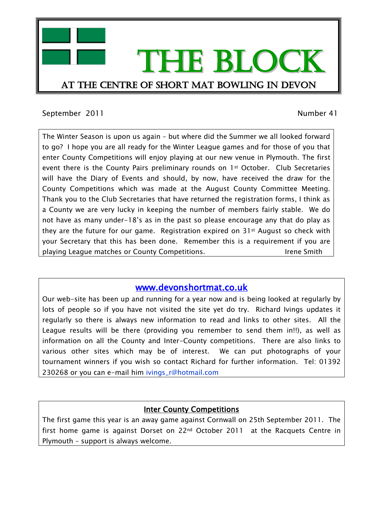

## September 2011 and the separate separate separate separate separate separate separate separate separate separate separate separate separate separate separate separate separate separate separate separate separate separate s

The Winter Season is upon us again – but where did the Summer we all looked forward to go? I hope you are all ready for the Winter League games and for those of you that enter County Competitions will enjoy playing at our new venue in Plymouth. The first event there is the County Pairs preliminary rounds on 1st October. Club Secretaries will have the Diary of Events and should, by now, have received the draw for the County Competitions which was made at the August County Committee Meeting. Thank you to the Club Secretaries that have returned the registration forms, I think as a County we are very lucky in keeping the number of members fairly stable. We do not have as many under-18's as in the past so please encourage any that do play as they are the future for our game. Registration expired on 31st August so check with your Secretary that this has been done. Remember this is a requirement if you are playing League matches or County Competitions. The state of the Smith

# [www.devonshortmat.co.uk](http://www.devonshortmat.co.uk/)

Our web-site has been up and running for a year now and is being looked at regularly by lots of people so if you have not visited the site yet do try. Richard Ivings updates it regularly so there is always new information to read and links to other sites. All the League results will be there (providing you remember to send them in!!), as well as information on all the County and Inter-County competitions. There are also links to various other sites which may be of interest. We can put photographs of your tournament winners if you wish so contact Richard for further information. Tel: 01392 230268 or you can e-mail him ivings\_r@hotmail.com

# **Inter County Competitions**

The first game this year is an away game against Cornwall on 25th September 2011. The first home game is against Dorset on 22nd October 2011 at the Racquets Centre in Plymouth – support is always welcome.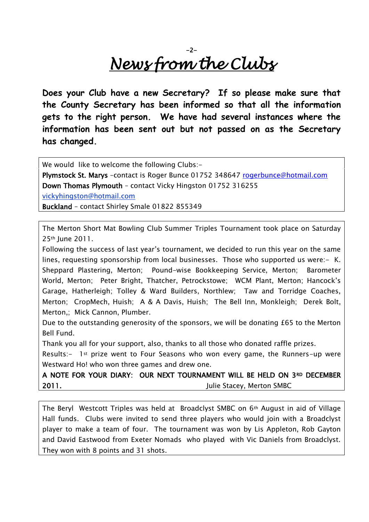# -2- *News from the Clubs*

**Does your Club have a new Secretary? If so please make sure that the County Secretary has been informed so that all the information gets to the right person. We have had several instances where the information has been sent out but not passed on as the Secretary has changed.** 

We would like to welcome the following Clubs:-

Plymstock St. Marys –contact is Roger Bunce 01752 348647 [rogerbunce@hotmail.com](mailto:rogerbunce@hotmail.com)  Down Thomas Plymouth – contact Vicky Hingston 01752 316255 vickyhingston@hotmail.com Buckland – contact Shirley Smale 01822 855349

The Merton Short Mat Bowling Club Summer Triples Tournament took place on Saturday 25th June 2011.

Following the success of last year's tournament, we decided to run this year on the same lines, requesting sponsorship from local businesses. Those who supported us were:- K. Sheppard Plastering, Merton; Pound-wise Bookkeeping Service, Merton; Barometer World, Merton; Peter Bright, Thatcher, Petrockstowe; WCM Plant, Merton; Hancock's Garage, Hatherleigh; Tolley & Ward Builders, Northlew; Taw and Torridge Coaches, Merton; CropMech, Huish; A & A Davis, Huish; The Bell Inn, Monkleigh; Derek Bolt, Merton,; Mick Cannon, Plumber.

Due to the outstanding generosity of the sponsors, we will be donating £65 to the Merton Bell Fund.

Thank you all for your support, also, thanks to all those who donated raffle prizes.

Results:- 1st prize went to Four Seasons who won every game, the Runners-up were Westward Ho! who won three games and drew one.

A NOTE FOR YOUR DIARY: OUR NEXT TOURNAMENT WILL BE HELD ON 3RD DECEMBER 2011. **Julie Stacey, Merton SMBC** 

The Beryl Westcott Triples was held at Broadclyst SMBC on 6th August in aid of Village Hall funds. Clubs were invited to send three players who would join with a Broadclyst player to make a team of four. The tournament was won by Lis Appleton, Rob Gayton and David Eastwood from Exeter Nomads who played with Vic Daniels from Broadclyst. They won with 8 points and 31 shots.